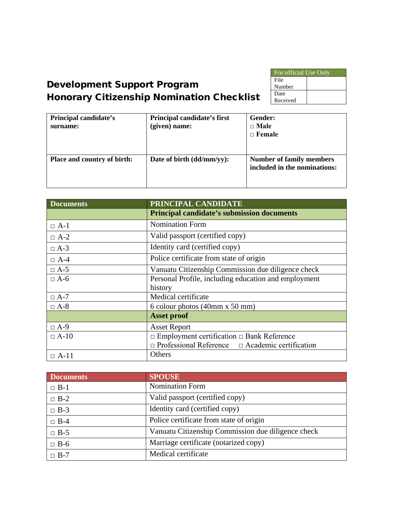| For official Use Only |  |  |
|-----------------------|--|--|
| File                  |  |  |
| Number                |  |  |
| Date                  |  |  |
| Received              |  |  |

# Development Support Program Honorary Citizenship Nomination Checklist

| Principal candidate's<br>surname:  | Principal candidate's first<br>(given) name: | <b>Gender:</b><br>$\Box$ Male<br>$\Box$ Female                  |
|------------------------------------|----------------------------------------------|-----------------------------------------------------------------|
| <b>Place and country of birth:</b> | Date of birth (dd/mm/yy):                    | <b>Number of family members</b><br>included in the nominations: |

| <b>Documents</b> | PRINCIPAL CANDIDATE                                         |  |  |
|------------------|-------------------------------------------------------------|--|--|
|                  | <b>Principal candidate's submission documents</b>           |  |  |
| $\Box$ A-1       | <b>Nomination Form</b>                                      |  |  |
| $\Box$ A-2       | Valid passport (certified copy)                             |  |  |
| $\Box$ A-3       | Identity card (certified copy)                              |  |  |
| $\Box$ A-4       | Police certificate from state of origin                     |  |  |
| $\Box$ A-5       | Vanuatu Citizenship Commission due diligence check          |  |  |
| $\Box$ A-6       | Personal Profile, including education and employment        |  |  |
|                  | history                                                     |  |  |
| $\Box$ A-7       | Medical certificate                                         |  |  |
| $\Box$ A-8       | 6 colour photos (40mm x 50 mm)                              |  |  |
|                  | <b>Asset proof</b>                                          |  |  |
| $\Box A-9$       | <b>Asset Report</b>                                         |  |  |
| $\Box$ A-10      | $\Box$ Employment certification $\Box$ Bank Reference       |  |  |
|                  | $\Box$ Professional Reference $\Box$ Academic certification |  |  |
| $\Box$ A-11      | Others                                                      |  |  |

| <b>Documents</b> | <b>SPOUSE</b>                                      |
|------------------|----------------------------------------------------|
| $\Box$ B-1       | <b>Nomination Form</b>                             |
| $\Box$ B-2       | Valid passport (certified copy)                    |
| $\Box$ B-3       | Identity card (certified copy)                     |
| $\Box$ B-4       | Police certificate from state of origin            |
| $\Box$ B-5       | Vanuatu Citizenship Commission due diligence check |
| $\Box$ B-6       | Marriage certificate (notarized copy)              |
| $\Box$ B-7       | Medical certificate                                |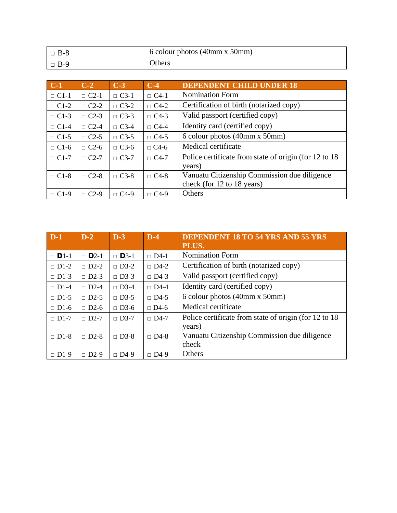| $\Box$ B-8 | 6 colour photos $(40 \text{mm} \times 50 \text{mm})$ |
|------------|------------------------------------------------------|
| $\Box$ B-9 | <b>Others</b>                                        |

| $C-1$       | $C-2$                    | $C-3$       | $C-4$       | <b>DEPENDENT CHILD UNDER 18</b>                        |
|-------------|--------------------------|-------------|-------------|--------------------------------------------------------|
| $\Box$ C1-1 | $\Box$ C2-1              | $\Box$ C3-1 | $\Box$ C4-1 | <b>Nomination Form</b>                                 |
| $\Box$ C1-2 | $\Box$ C2-2              | $\Box$ C3-2 | $\Box$ C4-2 | Certification of birth (notarized copy)                |
| $\Box$ C1-3 | $\Box$ C2-3              | $\Box$ C3-3 | $\Box$ C4-3 | Valid passport (certified copy)                        |
| $\Box$ C1-4 | $\Box$ C2-4              | $\Box$ C3-4 | $\Box$ C4-4 | Identity card (certified copy)                         |
| $\Box$ C1-5 | $\Box$ C2-5              | $\Box$ C3-5 | $\Box$ C4-5 | 6 colour photos (40mm x 50mm)                          |
| $\Box$ C1-6 | $\Box$ C <sub>2</sub> -6 | $\Box$ C3-6 | $\Box$ C4-6 | Medical certificate                                    |
| $\Box$ C1-7 | $\Box$ C2-7              | $\Box$ C3-7 | $\Box$ C4-7 | Police certificate from state of origin (for 12 to 18) |
|             |                          |             |             | years)                                                 |
| $\Box$ C1-8 | $\Box$ C2-8              | $\Box$ C3-8 | $\Box$ C4-8 | Vanuatu Citizenship Commission due diligence           |
|             |                          |             |             | check (for 12 to 18 years)                             |
| $\Box$ C1-9 | $\Box$ C <sub>2</sub> -9 | $\Box$ C4-9 | $\Box$ C4-9 | Others                                                 |

| $D-1$                   | $D-2$                    | $D-3$       | $D-4$       | <b>DEPENDENT 18 TO 54 YRS AND 55 YRS</b><br>PLUS.      |
|-------------------------|--------------------------|-------------|-------------|--------------------------------------------------------|
| $\Box$ D <sub>1-1</sub> | $\Box$ D <sub>2</sub> -1 | $\Box$ D3-1 | $\Box$ D4-1 | <b>Nomination Form</b>                                 |
| $\Box$ D1-2             | $\Box$ D2-2              | $\Box$ D3-2 | $\Box$ D4-2 | Certification of birth (notarized copy)                |
| $\Box$ D1-3             | $\Box$ D2-3              | $\Box$ D3-3 | $\Box$ D4-3 | Valid passport (certified copy)                        |
| $\Box$ D1-4             | $\Box$ D2-4              | $\Box$ D3-4 | $\Box$ D4-4 | Identity card (certified copy)                         |
| $\Box$ D1-5             | $\Box$ D2-5              | $\Box$ D3-5 | $\Box$ D4-5 | 6 colour photos (40mm x 50mm)                          |
| $\Box$ D1-6             | $\Box$ D <sub>2</sub> -6 | $\Box$ D3-6 | $\Box$ D4-6 | Medical certificate                                    |
| $\Box$ D1-7             | $\Box$ D2-7              | $\Box$ D3-7 | $\Box$ D4-7 | Police certificate from state of origin (for 12 to 18) |
|                         |                          |             |             | years)                                                 |
| $\Box$ D1-8             | $\Box$ D2-8              | $\Box$ D3-8 | $\Box$ D4-8 | Vanuatu Citizenship Commission due diligence           |
|                         |                          |             |             | check                                                  |
| $\Box$ D1-9             | $\Box$ D2-9              | $\Box$ D4-9 | $\Box$ D4-9 | Others                                                 |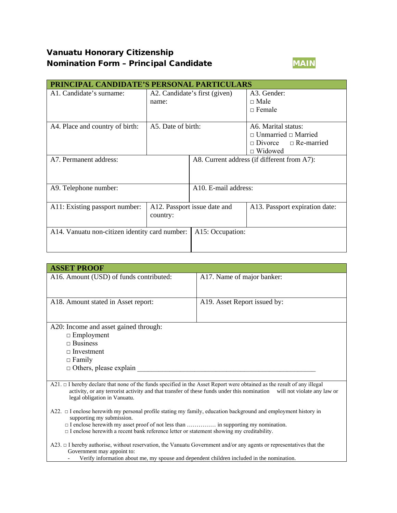# Vanuatu Honorary Citizenship Nomination Form - Principal Candidate MAIN



| PRINCIPAL CANDIDATE'S PERSONAL PARTICULARS     |                               |                                             |                                  |  |
|------------------------------------------------|-------------------------------|---------------------------------------------|----------------------------------|--|
| A1. Candidate's surname:                       | A2. Candidate's first (given) |                                             | A3. Gender:                      |  |
|                                                | name:                         |                                             | $\Box$ Male                      |  |
|                                                |                               |                                             | $\Box$ Female                    |  |
|                                                |                               |                                             |                                  |  |
| A4. Place and country of birth:                | A5. Date of birth:            |                                             | A6. Marital status:              |  |
|                                                |                               |                                             | $\Box$ Unmarried $\Box$ Married  |  |
|                                                |                               |                                             | $\Box$ Divorce $\Box$ Re-married |  |
|                                                |                               |                                             | $\Box$ Widowed                   |  |
| A7. Permanent address:                         |                               | A8. Current address (if different from A7): |                                  |  |
|                                                |                               |                                             |                                  |  |
|                                                |                               |                                             |                                  |  |
| A9. Telephone number:                          |                               | A10. E-mail address:                        |                                  |  |
|                                                |                               |                                             |                                  |  |
| A11: Existing passport number:                 |                               | A12. Passport issue date and                | A13. Passport expiration date:   |  |
|                                                | country:                      |                                             |                                  |  |
|                                                |                               |                                             |                                  |  |
| A14. Vanuatu non-citizen identity card number: |                               | A15: Occupation:                            |                                  |  |
|                                                |                               |                                             |                                  |  |
|                                                |                               |                                             |                                  |  |

| <b>ASSET PROOF</b>                                                                                                                                                                                                                                                                     |                              |  |
|----------------------------------------------------------------------------------------------------------------------------------------------------------------------------------------------------------------------------------------------------------------------------------------|------------------------------|--|
| A16. Amount (USD) of funds contributed:                                                                                                                                                                                                                                                | A17. Name of major banker:   |  |
|                                                                                                                                                                                                                                                                                        |                              |  |
| A18. Amount stated in Asset report:                                                                                                                                                                                                                                                    | A19. Asset Report issued by: |  |
|                                                                                                                                                                                                                                                                                        |                              |  |
| A20: Income and asset gained through:                                                                                                                                                                                                                                                  |                              |  |
| $\Box$ Employment                                                                                                                                                                                                                                                                      |                              |  |
| $\Box$ Business                                                                                                                                                                                                                                                                        |                              |  |
| $\Box$ Investment                                                                                                                                                                                                                                                                      |                              |  |
| $\Box$ Family                                                                                                                                                                                                                                                                          |                              |  |
| $\Box$ Others, please explain                                                                                                                                                                                                                                                          |                              |  |
|                                                                                                                                                                                                                                                                                        |                              |  |
| $A21. \Box$ I hereby declare that none of the funds specified in the Asset Report were obtained as the result of any illegal<br>activity, or any terrorist activity and that transfer of these funds under this nomination will not violate any law or<br>legal obligation in Vanuatu. |                              |  |
| $A22. \Box$ I enclose herewith my personal profile stating my family, education background and employment history in<br>supporting my submission.<br>$\Box$ I enclose herewith a recent bank reference letter or statement showing my creditability.                                   |                              |  |
| $A23. \Box$ I hereby authorise, without reservation, the Vanuatu Government and/or any agents or representatives that the                                                                                                                                                              |                              |  |

Government may appoint to:

- Verify information about me, my spouse and dependent children included in the nomination.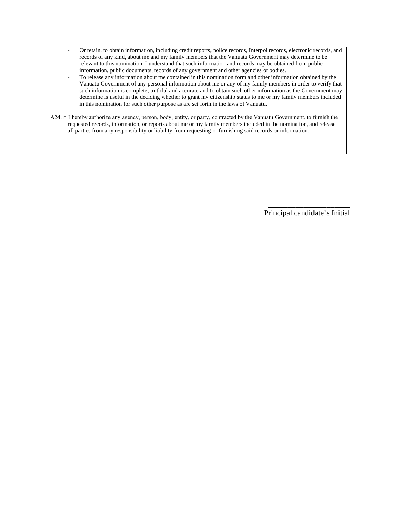- Or retain, to obtain information, including credit reports, police records, Interpol records, electronic records, and records of any kind, about me and my family members that the Vanuatu Government may determine to be relevant to this nomination. I understand that such information and records may be obtained from public information, public documents, records of any government and other agencies or bodies.
- To release any information about me contained in this nomination form and other information obtained by the Vanuatu Government of any personal information about me or any of my family members in order to verify that such information is complete, truthful and accurate and to obtain such other information as the Government may determine is useful in the deciding whether to grant my citizenship status to me or my family members included in this nomination for such other purpose as are set forth in the laws of Vanuatu.
- A24. □ I hereby authorize any agency, person, body, entity, or party, contracted by the Vanuatu Government, to furnish the requested records, information, or reports about me or my family members included in the nomination, and release all parties from any responsibility or liability from requesting or furnishing said records or information.

\_\_\_\_\_\_\_\_\_\_\_\_\_\_\_\_\_\_\_\_\_ Principal candidate's Initial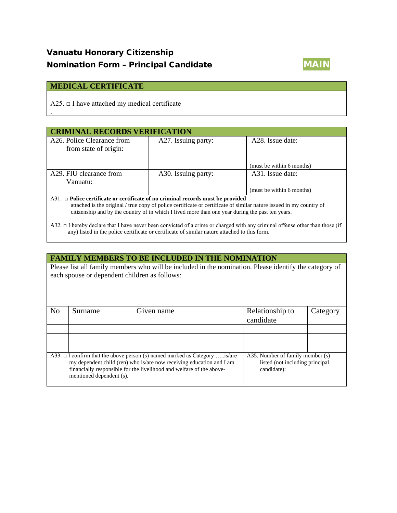# Vanuatu Honorary Citizenship Nomination Form - Principal Candidate MAIN



#### **MEDICAL CERTIFICATE**

.

A25.  $\Box$  I have attached my medical certificate

| <b>CRIMINAL RECORDS VERIFICATION</b>                                                                                                                                                                                    |                     |                           |  |  |  |
|-------------------------------------------------------------------------------------------------------------------------------------------------------------------------------------------------------------------------|---------------------|---------------------------|--|--|--|
| A <sub>26</sub> . Police Clearance from<br>from state of origin:                                                                                                                                                        | A27. Issuing party: | A28. Issue date:          |  |  |  |
|                                                                                                                                                                                                                         |                     | (must be within 6 months) |  |  |  |
| A29. FIU clearance from                                                                                                                                                                                                 | A30. Issuing party: | A31. Issue date:          |  |  |  |
| Vanuatu:                                                                                                                                                                                                                |                     |                           |  |  |  |
|                                                                                                                                                                                                                         |                     | (must be within 6 months) |  |  |  |
| A31. $\Box$ Police certificate or certificate of no criminal records must be provided                                                                                                                                   |                     |                           |  |  |  |
| attached is the original / true copy of police certificate or certificate of similar nature issued in my country of<br>citizenship and by the country of in which I lived more than one year during the past ten years. |                     |                           |  |  |  |

A32. □ I hereby declare that I have never been convicted of a crime or charged with any criminal offense other than those (if any) listed in the police certificate or certificate of similar nature attached to this form.

#### **FAMILY MEMBERS TO BE INCLUDED IN THE NOMINATION**

Please list all family members who will be included in the nomination. Please identify the category of each spouse or dependent children as follows:

| N <sub>o</sub>                                                                                                                                                                                                                                              | Surname | Given name | Relationship to<br>candidate                                                       | Category |
|-------------------------------------------------------------------------------------------------------------------------------------------------------------------------------------------------------------------------------------------------------------|---------|------------|------------------------------------------------------------------------------------|----------|
|                                                                                                                                                                                                                                                             |         |            |                                                                                    |          |
|                                                                                                                                                                                                                                                             |         |            |                                                                                    |          |
|                                                                                                                                                                                                                                                             |         |            |                                                                                    |          |
| A33. $\Box$ I confirm that the above person (s) named marked as Category is/are<br>my dependent child (ren) who is/are now receiving education and I am<br>financially responsible for the livelihood and welfare of the above-<br>mentioned dependent (s). |         |            | A35. Number of family member (s)<br>listed (not including principal<br>candidate): |          |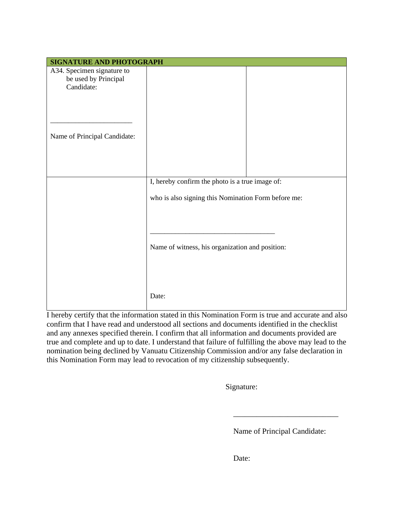| <b>SIGNATURE AND PHOTOGRAPH</b>                                  |                                                     |  |  |
|------------------------------------------------------------------|-----------------------------------------------------|--|--|
| A34. Specimen signature to<br>be used by Principal<br>Candidate: |                                                     |  |  |
| Name of Principal Candidate:                                     |                                                     |  |  |
|                                                                  | I, hereby confirm the photo is a true image of:     |  |  |
|                                                                  | who is also signing this Nomination Form before me: |  |  |
|                                                                  | Name of witness, his organization and position:     |  |  |
|                                                                  | Date:                                               |  |  |

I hereby certify that the information stated in this Nomination Form is true and accurate and also confirm that I have read and understood all sections and documents identified in the checklist and any annexes specified therein. I confirm that all information and documents provided are true and complete and up to date. I understand that failure of fulfilling the above may lead to the nomination being declined by Vanuatu Citizenship Commission and/or any false declaration in this Nomination Form may lead to revocation of my citizenship subsequently.

Signature:

Name of Principal Candidate:

\_\_\_\_\_\_\_\_\_\_\_\_\_\_\_\_\_\_\_\_\_\_\_\_\_\_\_

Date: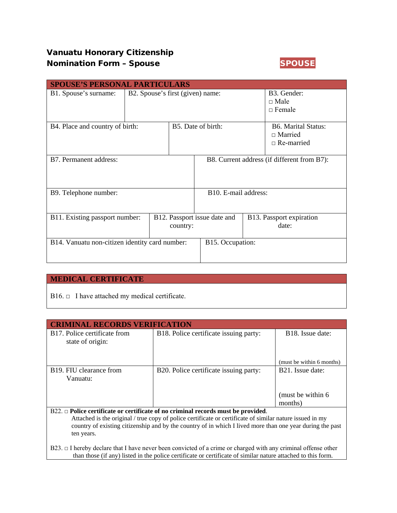### Vanuatu Honorary Citizenship Nomination Form – Spouse SPOUSE



|                                                | <b>SPOUSE'S PERSONAL PARTICULARS</b> |                                             |                                             |                                                                   |                                   |
|------------------------------------------------|--------------------------------------|---------------------------------------------|---------------------------------------------|-------------------------------------------------------------------|-----------------------------------|
| B1. Spouse's surname:                          | B2. Spouse's first (given) name:     |                                             | B3. Gender:<br>$\Box$ Male<br>$\Box$ Female |                                                                   |                                   |
| B4. Place and country of birth:                |                                      | B5. Date of birth:                          |                                             | <b>B6. Marital Status:</b><br>$\Box$ Married<br>$\Box$ Re-married |                                   |
| B7. Permanent address:                         |                                      | B8. Current address (if different from B7): |                                             |                                                                   |                                   |
| B9. Telephone number:                          |                                      | B <sub>10</sub> . E-mail address:           |                                             |                                                                   |                                   |
| B11. Existing passport number:                 | country:                             |                                             | B12. Passport issue date and                |                                                                   | B13. Passport expiration<br>date: |
| B14. Vanuatu non-citizen identity card number: |                                      | B15. Occupation:                            |                                             |                                                                   |                                   |

#### **MEDICAL CERTIFICATE**

|  | B16. $\Box$ I have attached my medical certificate. |  |  |
|--|-----------------------------------------------------|--|--|
|--|-----------------------------------------------------|--|--|

| <b>CRIMINAL RECORDS VERIFICATION</b>                                                                                                                                                               |                                        |                               |  |  |  |
|----------------------------------------------------------------------------------------------------------------------------------------------------------------------------------------------------|----------------------------------------|-------------------------------|--|--|--|
| B17. Police certificate from<br>state of origin:                                                                                                                                                   | B18. Police certificate issuing party: | B <sub>18</sub> Issue date:   |  |  |  |
|                                                                                                                                                                                                    |                                        | (must be within 6 months)     |  |  |  |
| B <sub>19</sub> . FIU clearance from<br>Vanuatu:                                                                                                                                                   | B20. Police certificate issuing party: | B <sub>21</sub> . Issue date: |  |  |  |
| (must be within 6)<br>months)                                                                                                                                                                      |                                        |                               |  |  |  |
| $B22. \Box$ Police certificate or certificate of no criminal records must be provided.<br>Attached is the original / true copy of police certificate or certificate of similar nature issued in my |                                        |                               |  |  |  |

 country of existing citizenship and by the country of in which I lived more than one year during the past ten years.

B23. □ I hereby declare that I have never been convicted of a crime or charged with any criminal offense other than those (if any) listed in the police certificate or certificate of similar nature attached to this form.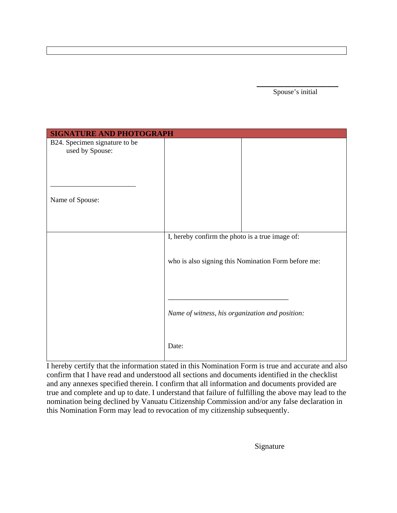\_\_\_\_\_\_\_\_\_\_\_\_\_\_\_\_\_\_\_\_\_ Spouse's initial

| <b>SIGNATURE AND PHOTOGRAPH</b>                  |                                                     |
|--------------------------------------------------|-----------------------------------------------------|
| B24. Specimen signature to be<br>used by Spouse: |                                                     |
|                                                  |                                                     |
|                                                  |                                                     |
| Name of Spouse:                                  |                                                     |
|                                                  | I, hereby confirm the photo is a true image of:     |
|                                                  |                                                     |
|                                                  | who is also signing this Nomination Form before me: |
|                                                  |                                                     |
|                                                  | Name of witness, his organization and position:     |
|                                                  | Date:                                               |

I hereby certify that the information stated in this Nomination Form is true and accurate and also confirm that I have read and understood all sections and documents identified in the checklist and any annexes specified therein. I confirm that all information and documents provided are true and complete and up to date. I understand that failure of fulfilling the above may lead to the nomination being declined by Vanuatu Citizenship Commission and/or any false declaration in this Nomination Form may lead to revocation of my citizenship subsequently.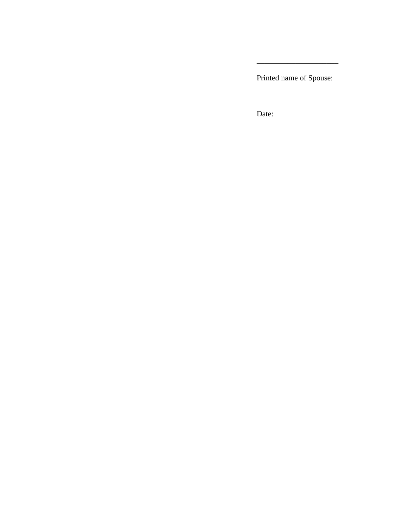Printed name of Spouse:

\_\_\_\_\_\_\_\_\_\_\_\_\_\_\_\_\_\_\_\_\_

Date: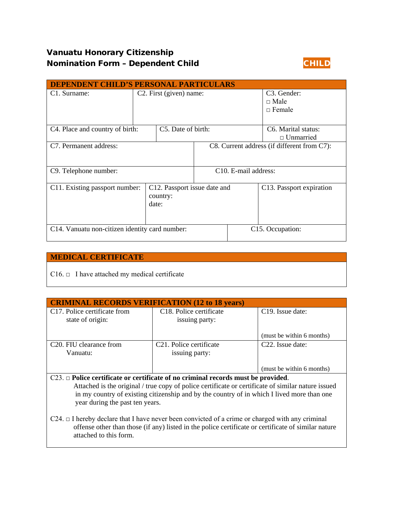## Vanuatu Honorary Citizenship **Nomination Form - Dependent Child CHILD**



| <b>DEPENDENT CHILD'S PERSONAL PARTICULARS</b>  |                                                   |                    |                                                          |                                 |                                                      |
|------------------------------------------------|---------------------------------------------------|--------------------|----------------------------------------------------------|---------------------------------|------------------------------------------------------|
| C <sub>1</sub> . Surname:                      | C <sub>2</sub> . First (given) name:              |                    | C <sub>3</sub> . Gender:<br>$\Box$ Male<br>$\Box$ Female |                                 |                                                      |
| C <sub>4</sub> . Place and country of birth:   |                                                   | C5. Date of birth: |                                                          |                                 | C <sub>6</sub> . Marital status:<br>$\Box$ Unmarried |
| C7. Permanent address:                         |                                                   |                    | C8. Current address (if different from C7):              |                                 |                                                      |
| C9. Telephone number:                          |                                                   |                    |                                                          | C <sub>10</sub> E-mail address: |                                                      |
| C11. Existing passport number:                 | C12. Passport issue date and<br>country:<br>date: |                    |                                                          |                                 | C13. Passport expiration                             |
| C14. Vanuatu non-citizen identity card number: |                                                   |                    |                                                          |                                 | C15. Occupation:                                     |

#### **MEDICAL CERTIFICATE**

 $C16.  $\Box$  I have attached my medical certificate$ 

| <b>CRIMINAL RECORDS VERIFICATION (12 to 18 years)</b>                                              |                                      |                               |  |
|----------------------------------------------------------------------------------------------------|--------------------------------------|-------------------------------|--|
| C17. Police certificate from                                                                       | C <sub>18</sub> . Police certificate | C <sub>19</sub> . Issue date: |  |
| state of origin:                                                                                   | issuing party:                       |                               |  |
|                                                                                                    |                                      |                               |  |
|                                                                                                    |                                      | (must be within 6 months)     |  |
| C <sub>20</sub> . FIU clearance from                                                               | C <sub>21</sub> . Police certificate | C <sub>22</sub> . Issue date: |  |
| Vanuatu:                                                                                           | issuing party:                       |                               |  |
|                                                                                                    |                                      |                               |  |
|                                                                                                    |                                      | (must be within 6 months)     |  |
| $C23. \Box$ Police certificate or certificate of no criminal records must be provided.             |                                      |                               |  |
| Attached is the original / true copy of police certificate or certificate of similar nature issued |                                      |                               |  |
| in my country of existing citizenship and by the country of in which I lived more than one         |                                      |                               |  |

 year during the past ten years. C24. □ I hereby declare that I have never been convicted of a crime or charged with any criminal offense other than those (if any) listed in the police certificate or certificate of similar nature attached to this form.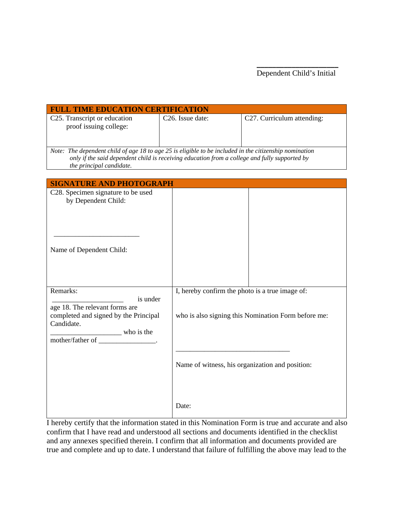| <b>FULL TIME EDUCATION CERTIFICATION</b>                                                                                                                                                                                            |                               |                                                                                                        |  |  |
|-------------------------------------------------------------------------------------------------------------------------------------------------------------------------------------------------------------------------------------|-------------------------------|--------------------------------------------------------------------------------------------------------|--|--|
| C25. Transcript or education<br>proof issuing college:                                                                                                                                                                              | C <sub>26</sub> . Issue date: | C27. Curriculum attending:                                                                             |  |  |
| Note: The dependent child of age 18 to age 25 is eligible to be included in the citizenship nomination<br>only if the said dependent child is receiving education from a college and fully supported by<br>the principal candidate. |                               |                                                                                                        |  |  |
| <b>SIGNATURE AND PHOTOGRAPH</b>                                                                                                                                                                                                     |                               |                                                                                                        |  |  |
| C <sub>28</sub> . Specimen signature to be used<br>by Dependent Child:<br>Name of Dependent Child:                                                                                                                                  |                               |                                                                                                        |  |  |
| Remarks:<br>is under<br>age 18. The relevant forms are<br>completed and signed by the Principal<br>Candidate.<br>who is the<br>mother/father of ____________________.                                                               |                               | I, hereby confirm the photo is a true image of:<br>who is also signing this Nomination Form before me: |  |  |
|                                                                                                                                                                                                                                     |                               | Name of witness, his organization and position:                                                        |  |  |
|                                                                                                                                                                                                                                     | Date:                         |                                                                                                        |  |  |

I hereby certify that the information stated in this Nomination Form is true and accurate and also confirm that I have read and understood all sections and documents identified in the checklist and any annexes specified therein. I confirm that all information and documents provided are true and complete and up to date. I understand that failure of fulfilling the above may lead to the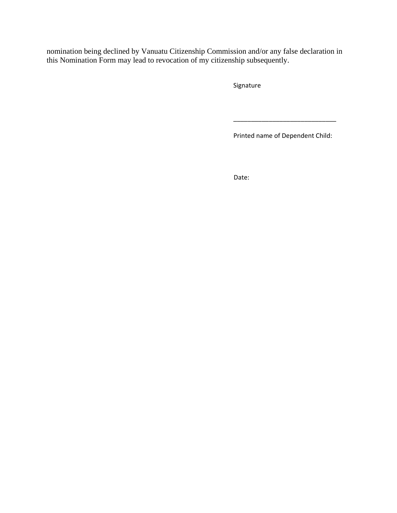nomination being declined by Vanuatu Citizenship Commission and/or any false declaration in this Nomination Form may lead to revocation of my citizenship subsequently.

Signature

Printed name of Dependent Child:

\_\_\_\_\_\_\_\_\_\_\_\_\_\_\_\_\_\_\_\_\_\_\_\_\_\_\_\_\_

design to the contract of the contract of the contract of the contract of the contract of the contract of the c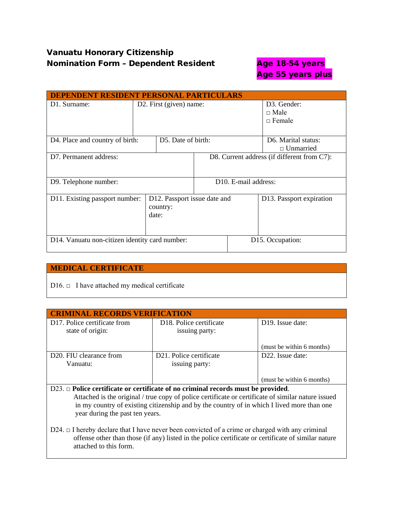# Vanuatu Honorary Citizenship Nomination Form - Dependent Resident **Age 18-54 years**

# Age 55 years plus

| <b>DEPENDENT RESIDENT PERSONAL PARTICULARS</b> |                                                   |                     |                                             |                                 |                          |
|------------------------------------------------|---------------------------------------------------|---------------------|---------------------------------------------|---------------------------------|--------------------------|
| D1. Surname:                                   | D2. First (given) name:                           |                     | D <sub>3</sub> . Gender:                    |                                 |                          |
|                                                |                                                   |                     |                                             |                                 | $\Box$ Male              |
|                                                |                                                   |                     |                                             |                                 | $\Box$ Female            |
|                                                |                                                   |                     |                                             |                                 |                          |
| D4. Place and country of birth:                |                                                   | D.5. Date of birth: |                                             |                                 | D6. Marital status:      |
|                                                |                                                   |                     |                                             |                                 | $\Box$ Unmarried         |
| D7. Permanent address:                         |                                                   |                     | D8. Current address (if different from C7): |                                 |                          |
|                                                |                                                   |                     |                                             |                                 |                          |
| D9. Telephone number:                          |                                                   |                     |                                             | D <sub>10</sub> E-mail address: |                          |
| D11. Existing passport number:                 | D12. Passport issue date and<br>country:<br>date: |                     |                                             |                                 | D13. Passport expiration |
| D14. Vanuatu non-citizen identity card number: |                                                   |                     |                                             | D <sub>15</sub> . Occupation:   |                          |

#### **MEDICAL CERTIFICATE**

D16.  $\Box$  I have attached my medical certificate

| <b>CRIMINAL RECORDS VERIFICATION</b>                                                   |                                                        |                               |  |
|----------------------------------------------------------------------------------------|--------------------------------------------------------|-------------------------------|--|
| D <sub>17</sub> . Police certificate from<br>state of origin:                          | D <sub>18</sub> . Police certificate<br>issuing party: | D <sub>19</sub> . Issue date: |  |
|                                                                                        |                                                        | (must be within 6 months)     |  |
| D <sub>20</sub> . FIU clearance from<br>Vanuatu:                                       | D21. Police certificate<br>issuing party:              | D <sub>22</sub> . Issue date: |  |
|                                                                                        |                                                        | (must be within 6 months)     |  |
| $D23. \Box$ Police certificate or certificate of no criminal records must be provided. |                                                        |                               |  |

 Attached is the original / true copy of police certificate or certificate of similar nature issued in my country of existing citizenship and by the country of in which I lived more than one year during the past ten years.

D24. □ I hereby declare that I have never been convicted of a crime or charged with any criminal offense other than those (if any) listed in the police certificate or certificate of similar nature attached to this form.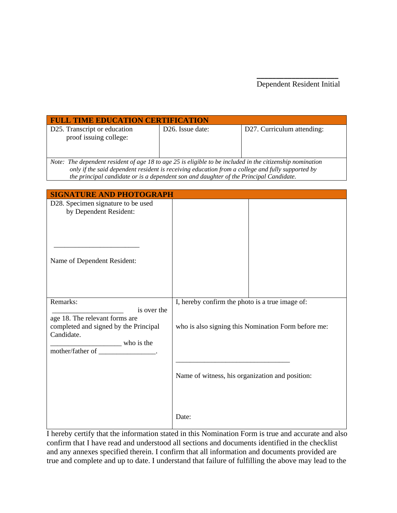| <b>FULL TIME EDUCATION CERTIFICATION</b>                                                                                                                                                                                                                                                                |                               |                            |  |  |
|---------------------------------------------------------------------------------------------------------------------------------------------------------------------------------------------------------------------------------------------------------------------------------------------------------|-------------------------------|----------------------------|--|--|
| D25. Transcript or education<br>proof issuing college:                                                                                                                                                                                                                                                  | D <sub>26</sub> . Issue date: | D27. Curriculum attending: |  |  |
| Note: The dependent resident of age 18 to age 25 is eligible to be included in the citizenship nomination<br>only if the said dependent resident is receiving education from a college and fully supported by<br>the principal candidate or is a dependent son and daughter of the Principal Candidate. |                               |                            |  |  |

| <b>SIGNATURE AND PHOTOGRAPH</b>                                                                                                                                         |                                                                                                        |
|-------------------------------------------------------------------------------------------------------------------------------------------------------------------------|--------------------------------------------------------------------------------------------------------|
| D28. Specimen signature to be used<br>by Dependent Resident:                                                                                                            |                                                                                                        |
| Name of Dependent Resident:                                                                                                                                             |                                                                                                        |
| Remarks:<br>is over the<br>age 18. The relevant forms are<br>completed and signed by the Principal<br>Candidate.<br>who is the<br>mother/father of ___________________. | I, hereby confirm the photo is a true image of:<br>who is also signing this Nomination Form before me: |
|                                                                                                                                                                         | Name of witness, his organization and position:                                                        |
|                                                                                                                                                                         | Date:                                                                                                  |

I hereby certify that the information stated in this Nomination Form is true and accurate and also confirm that I have read and understood all sections and documents identified in the checklist and any annexes specified therein. I confirm that all information and documents provided are true and complete and up to date. I understand that failure of fulfilling the above may lead to the